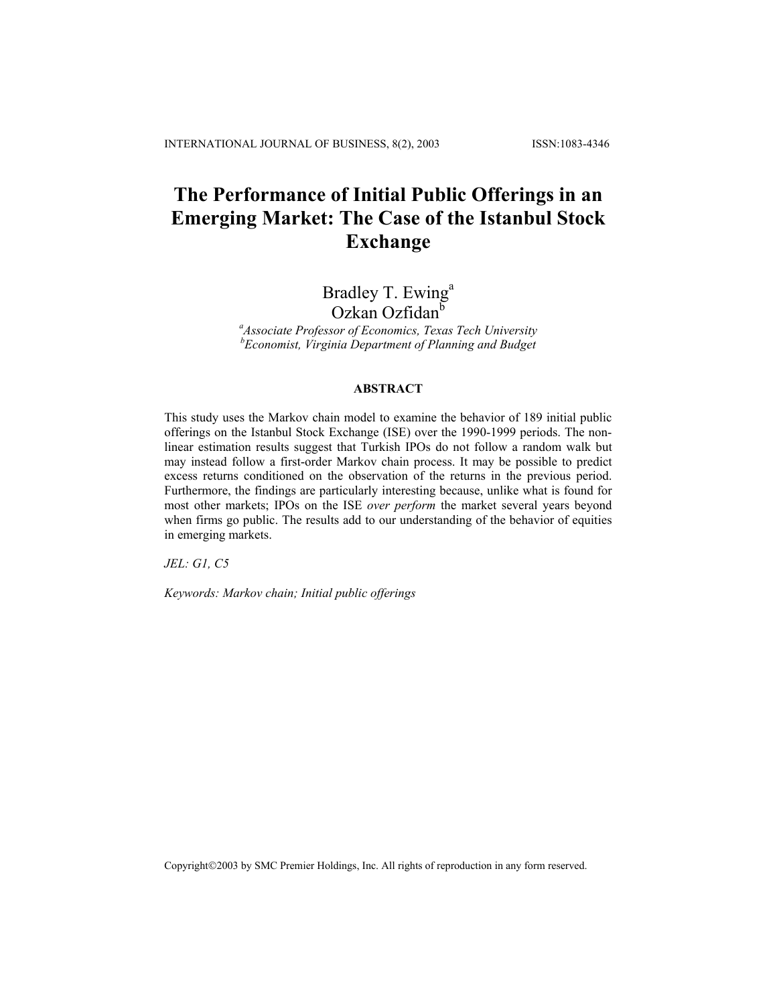# **The Performance of Initial Public Offerings in an Emerging Market: The Case of the Istanbul Stock Exchange**

# Bradley T. Ewing<sup>a</sup>

Ozkan Ozfidanb *<sup>a</sup>*

*Associate Professor of Economics, Texas Tech University b Economist, Virginia Department of Planning and Budget*

#### **ABSTRACT**

This study uses the Markov chain model to examine the behavior of 189 initial public offerings on the Istanbul Stock Exchange (ISE) over the 1990-1999 periods. The nonlinear estimation results suggest that Turkish IPOs do not follow a random walk but may instead follow a first-order Markov chain process. It may be possible to predict excess returns conditioned on the observation of the returns in the previous period. Furthermore, the findings are particularly interesting because, unlike what is found for most other markets; IPOs on the ISE *over perform* the market several years beyond when firms go public. The results add to our understanding of the behavior of equities in emerging markets.

*JEL: G1, C5* 

*Keywords: Markov chain; Initial public offerings* 

Copyright©2003 by SMC Premier Holdings, Inc. All rights of reproduction in any form reserved.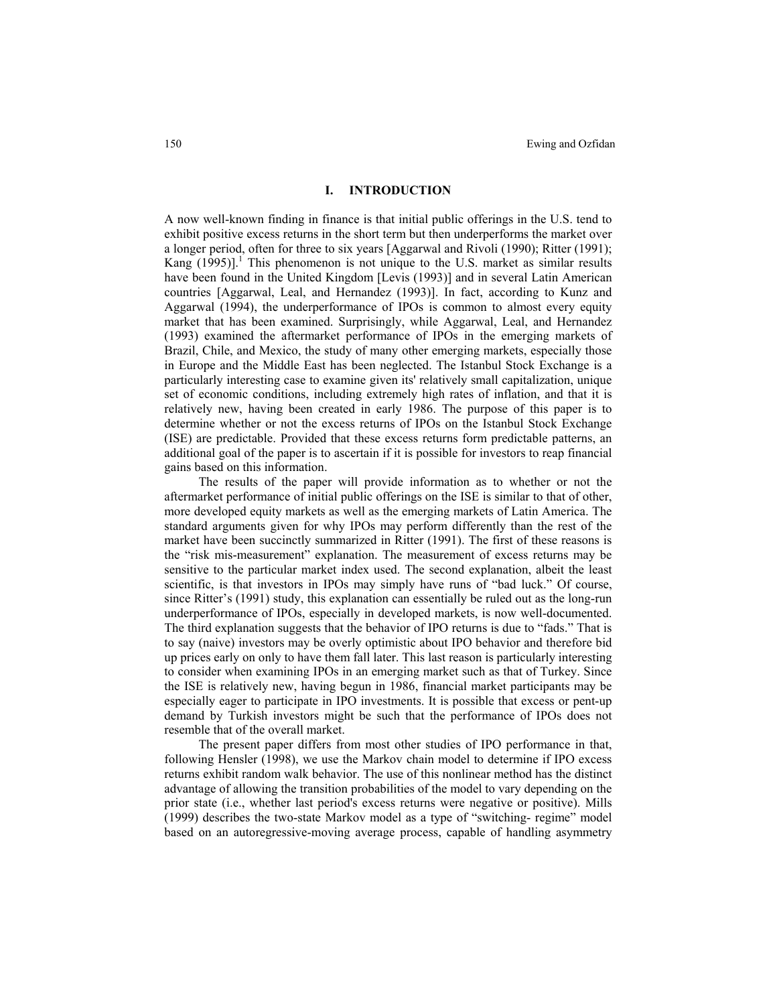### **I. INTRODUCTION**

A now well-known finding in finance is that initial public offerings in the U.S. tend to exhibit positive excess returns in the short term but then underperforms the market over a longer period, often for three to six years [Aggarwal and Rivoli (1990); Ritter (1991); Kang  $(1995)$ ].<sup>1</sup> This phenomenon is not unique to the U.S. market as similar results have been found in the United Kingdom [Levis (1993)] and in several Latin American countries [Aggarwal, Leal, and Hernandez (1993)]. In fact, according to Kunz and Aggarwal (1994), the underperformance of IPOs is common to almost every equity market that has been examined. Surprisingly, while Aggarwal, Leal, and Hernandez (1993) examined the aftermarket performance of IPOs in the emerging markets of Brazil, Chile, and Mexico, the study of many other emerging markets, especially those in Europe and the Middle East has been neglected. The Istanbul Stock Exchange is a particularly interesting case to examine given its' relatively small capitalization, unique set of economic conditions, including extremely high rates of inflation, and that it is relatively new, having been created in early 1986. The purpose of this paper is to determine whether or not the excess returns of IPOs on the Istanbul Stock Exchange (ISE) are predictable. Provided that these excess returns form predictable patterns, an additional goal of the paper is to ascertain if it is possible for investors to reap financial gains based on this information.

The results of the paper will provide information as to whether or not the aftermarket performance of initial public offerings on the ISE is similar to that of other, more developed equity markets as well as the emerging markets of Latin America. The standard arguments given for why IPOs may perform differently than the rest of the market have been succinctly summarized in Ritter (1991). The first of these reasons is the "risk mis-measurement" explanation. The measurement of excess returns may be sensitive to the particular market index used. The second explanation, albeit the least scientific, is that investors in IPOs may simply have runs of "bad luck." Of course, since Ritter's (1991) study, this explanation can essentially be ruled out as the long-run underperformance of IPOs, especially in developed markets, is now well-documented. The third explanation suggests that the behavior of IPO returns is due to "fads." That is to say (naive) investors may be overly optimistic about IPO behavior and therefore bid up prices early on only to have them fall later. This last reason is particularly interesting to consider when examining IPOs in an emerging market such as that of Turkey. Since the ISE is relatively new, having begun in 1986, financial market participants may be especially eager to participate in IPO investments. It is possible that excess or pent-up demand by Turkish investors might be such that the performance of IPOs does not resemble that of the overall market.

The present paper differs from most other studies of IPO performance in that, following Hensler (1998), we use the Markov chain model to determine if IPO excess returns exhibit random walk behavior. The use of this nonlinear method has the distinct advantage of allowing the transition probabilities of the model to vary depending on the prior state (i.e., whether last period's excess returns were negative or positive). Mills (1999) describes the two-state Markov model as a type of "switching- regime" model based on an autoregressive-moving average process, capable of handling asymmetry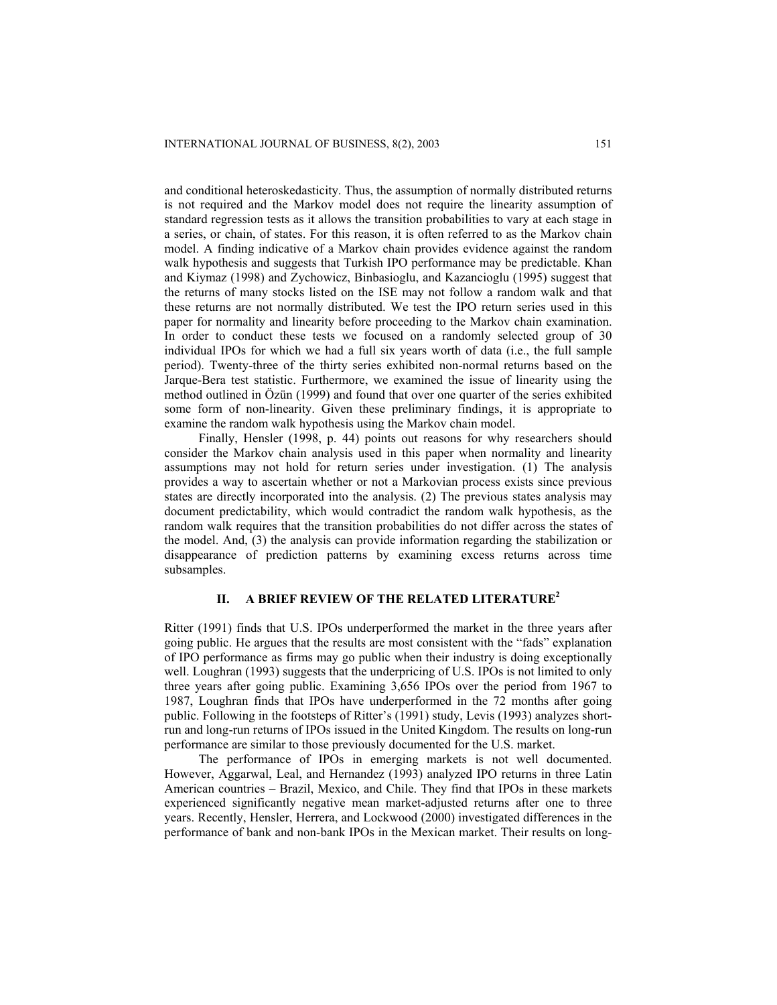and conditional heteroskedasticity. Thus, the assumption of normally distributed returns is not required and the Markov model does not require the linearity assumption of standard regression tests as it allows the transition probabilities to vary at each stage in a series, or chain, of states. For this reason, it is often referred to as the Markov chain model. A finding indicative of a Markov chain provides evidence against the random walk hypothesis and suggests that Turkish IPO performance may be predictable. Khan and Kiymaz (1998) and Zychowicz, Binbasioglu, and Kazancioglu (1995) suggest that the returns of many stocks listed on the ISE may not follow a random walk and that these returns are not normally distributed. We test the IPO return series used in this paper for normality and linearity before proceeding to the Markov chain examination. In order to conduct these tests we focused on a randomly selected group of 30 individual IPOs for which we had a full six years worth of data (i.e., the full sample period). Twenty-three of the thirty series exhibited non-normal returns based on the Jarque-Bera test statistic. Furthermore, we examined the issue of linearity using the method outlined in Özün (1999) and found that over one quarter of the series exhibited some form of non-linearity. Given these preliminary findings, it is appropriate to examine the random walk hypothesis using the Markov chain model.

Finally, Hensler (1998, p. 44) points out reasons for why researchers should consider the Markov chain analysis used in this paper when normality and linearity assumptions may not hold for return series under investigation. (1) The analysis provides a way to ascertain whether or not a Markovian process exists since previous states are directly incorporated into the analysis. (2) The previous states analysis may document predictability, which would contradict the random walk hypothesis, as the random walk requires that the transition probabilities do not differ across the states of the model. And, (3) the analysis can provide information regarding the stabilization or disappearance of prediction patterns by examining excess returns across time subsamples.

## **II. A BRIEF REVIEW OF THE RELATED LITERATURE2**

Ritter (1991) finds that U.S. IPOs underperformed the market in the three years after going public. He argues that the results are most consistent with the "fads" explanation of IPO performance as firms may go public when their industry is doing exceptionally well. Loughran (1993) suggests that the underpricing of U.S. IPOs is not limited to only three years after going public. Examining 3,656 IPOs over the period from 1967 to 1987, Loughran finds that IPOs have underperformed in the 72 months after going public. Following in the footsteps of Ritter's (1991) study, Levis (1993) analyzes shortrun and long-run returns of IPOs issued in the United Kingdom. The results on long-run performance are similar to those previously documented for the U.S. market.

The performance of IPOs in emerging markets is not well documented. However, Aggarwal, Leal, and Hernandez (1993) analyzed IPO returns in three Latin American countries – Brazil, Mexico, and Chile. They find that IPOs in these markets experienced significantly negative mean market-adjusted returns after one to three years. Recently, Hensler, Herrera, and Lockwood (2000) investigated differences in the performance of bank and non-bank IPOs in the Mexican market. Their results on long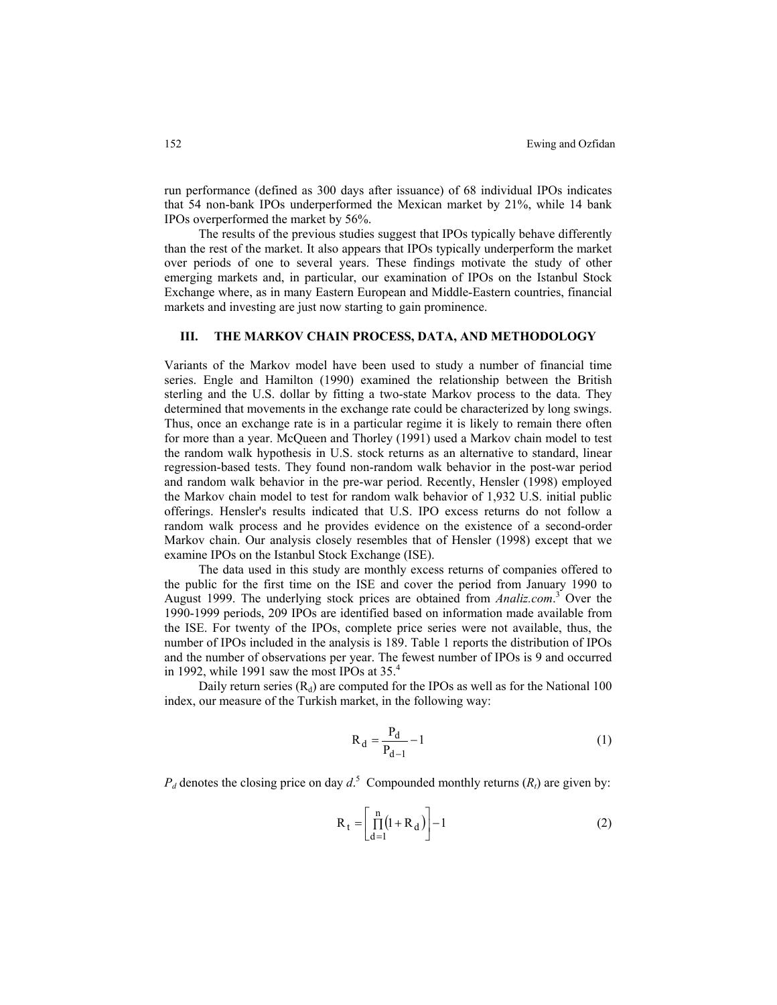run performance (defined as 300 days after issuance) of 68 individual IPOs indicates that 54 non-bank IPOs underperformed the Mexican market by 21%, while 14 bank IPOs overperformed the market by 56%.

The results of the previous studies suggest that IPOs typically behave differently than the rest of the market. It also appears that IPOs typically underperform the market over periods of one to several years. These findings motivate the study of other emerging markets and, in particular, our examination of IPOs on the Istanbul Stock Exchange where, as in many Eastern European and Middle-Eastern countries, financial markets and investing are just now starting to gain prominence.

# **III. THE MARKOV CHAIN PROCESS, DATA, AND METHODOLOGY**

Variants of the Markov model have been used to study a number of financial time series. Engle and Hamilton (1990) examined the relationship between the British sterling and the U.S. dollar by fitting a two-state Markov process to the data. They determined that movements in the exchange rate could be characterized by long swings. Thus, once an exchange rate is in a particular regime it is likely to remain there often for more than a year. McQueen and Thorley (1991) used a Markov chain model to test the random walk hypothesis in U.S. stock returns as an alternative to standard, linear regression-based tests. They found non-random walk behavior in the post-war period and random walk behavior in the pre-war period. Recently, Hensler (1998) employed the Markov chain model to test for random walk behavior of 1,932 U.S. initial public offerings. Hensler's results indicated that U.S. IPO excess returns do not follow a random walk process and he provides evidence on the existence of a second-order Markov chain. Our analysis closely resembles that of Hensler (1998) except that we examine IPOs on the Istanbul Stock Exchange (ISE).

The data used in this study are monthly excess returns of companies offered to the public for the first time on the ISE and cover the period from January 1990 to August 1999. The underlying stock prices are obtained from *Analiz.com*. 3 Over the 1990-1999 periods, 209 IPOs are identified based on information made available from the ISE. For twenty of the IPOs, complete price series were not available, thus, the number of IPOs included in the analysis is 189. Table 1 reports the distribution of IPOs and the number of observations per year. The fewest number of IPOs is 9 and occurred in 1992, while 1991 saw the most IPOs at  $35<sup>4</sup>$ 

Daily return series  $(R_d)$  are computed for the IPOs as well as for the National 100 index, our measure of the Turkish market, in the following way:

$$
R_d = \frac{P_d}{P_{d-1}} - 1
$$
 (1)

 $P_d$  denotes the closing price on day  $d^S$ . Compounded monthly returns  $(R_t)$  are given by:

$$
R_t = \left[\prod_{d=1}^{n} (1 + R_d)\right] - 1\tag{2}
$$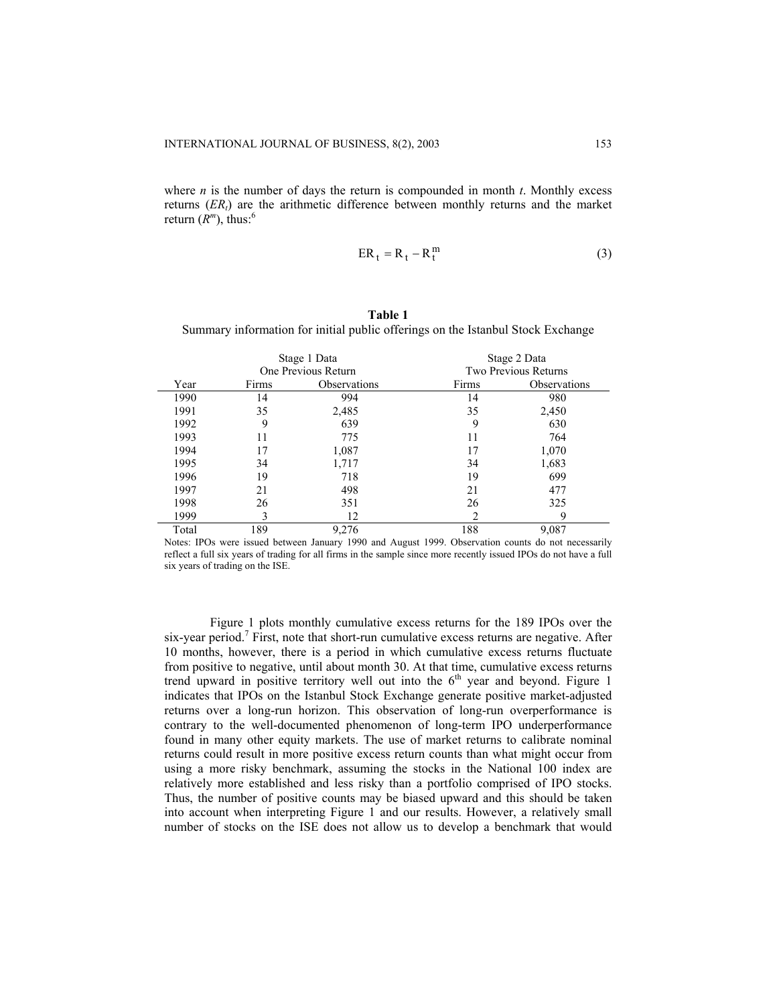where *n* is the number of days the return is compounded in month *t*. Monthly excess returns (*ERt*) are the arithmetic difference between monthly returns and the market return  $(R^m)$ , thus:<sup>6</sup>

$$
ER_t = R_t - R_t^m \tag{3}
$$

# **Table 1**

Summary information for initial public offerings on the Istanbul Stock Exchange

|       | Stage 1 Data |                     |       | Stage 2 Data         |
|-------|--------------|---------------------|-------|----------------------|
|       |              | One Previous Return |       | Two Previous Returns |
| Year  | Firms        | Observations        | Firms | Observations         |
| 1990  | 14           | 994                 | 14    | 980                  |
| 1991  | 35           | 2,485               | 35    | 2,450                |
| 1992  | 9            | 639                 | 9     | 630                  |
| 1993  | 11           | 775                 | 11    | 764                  |
| 1994  | 17           | 1,087               | 17    | 1,070                |
| 1995  | 34           | 1,717               | 34    | 1,683                |
| 1996  | 19           | 718                 | 19    | 699                  |
| 1997  | 21           | 498                 | 21    | 477                  |
| 1998  | 26           | 351                 | 26    | 325                  |
| 1999  |              | 12                  |       | Q                    |
| Total | 189          | 9,276               | 188   | 9,087                |

Notes: IPOs were issued between January 1990 and August 1999. Observation counts do not necessarily reflect a full six years of trading for all firms in the sample since more recently issued IPOs do not have a full six years of trading on the ISE.

Figure 1 plots monthly cumulative excess returns for the 189 IPOs over the six-year period.<sup>7</sup> First, note that short-run cumulative excess returns are negative. After 10 months, however, there is a period in which cumulative excess returns fluctuate from positive to negative, until about month 30. At that time, cumulative excess returns trend upward in positive territory well out into the  $6<sup>th</sup>$  year and beyond. Figure 1 indicates that IPOs on the Istanbul Stock Exchange generate positive market-adjusted returns over a long-run horizon. This observation of long-run overperformance is contrary to the well-documented phenomenon of long-term IPO underperformance found in many other equity markets. The use of market returns to calibrate nominal returns could result in more positive excess return counts than what might occur from using a more risky benchmark, assuming the stocks in the National 100 index are relatively more established and less risky than a portfolio comprised of IPO stocks. Thus, the number of positive counts may be biased upward and this should be taken into account when interpreting Figure 1 and our results. However, a relatively small number of stocks on the ISE does not allow us to develop a benchmark that would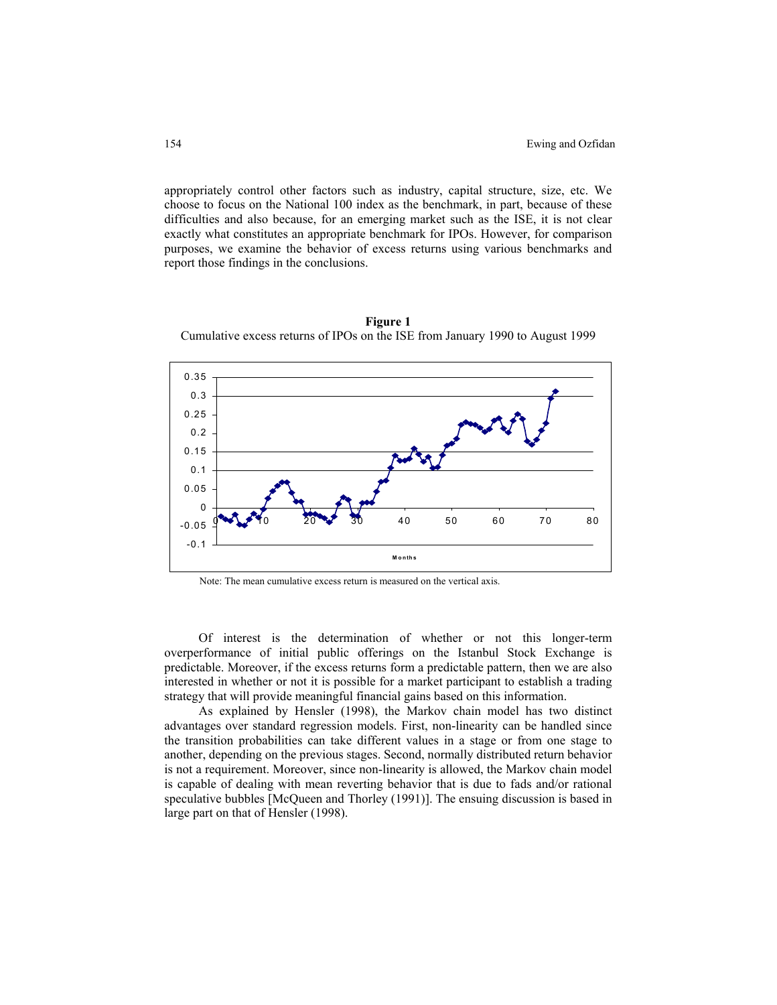appropriately control other factors such as industry, capital structure, size, etc. We choose to focus on the National 100 index as the benchmark, in part, because of these difficulties and also because, for an emerging market such as the ISE, it is not clear exactly what constitutes an appropriate benchmark for IPOs. However, for comparison purposes, we examine the behavior of excess returns using various benchmarks and report those findings in the conclusions.



**Figure 1**  Cumulative excess returns of IPOs on the ISE from January 1990 to August 1999

Of interest is the determination of whether or not this longer-term overperformance of initial public offerings on the Istanbul Stock Exchange is predictable. Moreover, if the excess returns form a predictable pattern, then we are also interested in whether or not it is possible for a market participant to establish a trading strategy that will provide meaningful financial gains based on this information.

As explained by Hensler (1998), the Markov chain model has two distinct advantages over standard regression models. First, non-linearity can be handled since the transition probabilities can take different values in a stage or from one stage to another, depending on the previous stages. Second, normally distributed return behavior is not a requirement. Moreover, since non-linearity is allowed, the Markov chain model is capable of dealing with mean reverting behavior that is due to fads and/or rational speculative bubbles [McQueen and Thorley (1991)]. The ensuing discussion is based in large part on that of Hensler (1998).

Note: The mean cumulative excess return is measured on the vertical axis.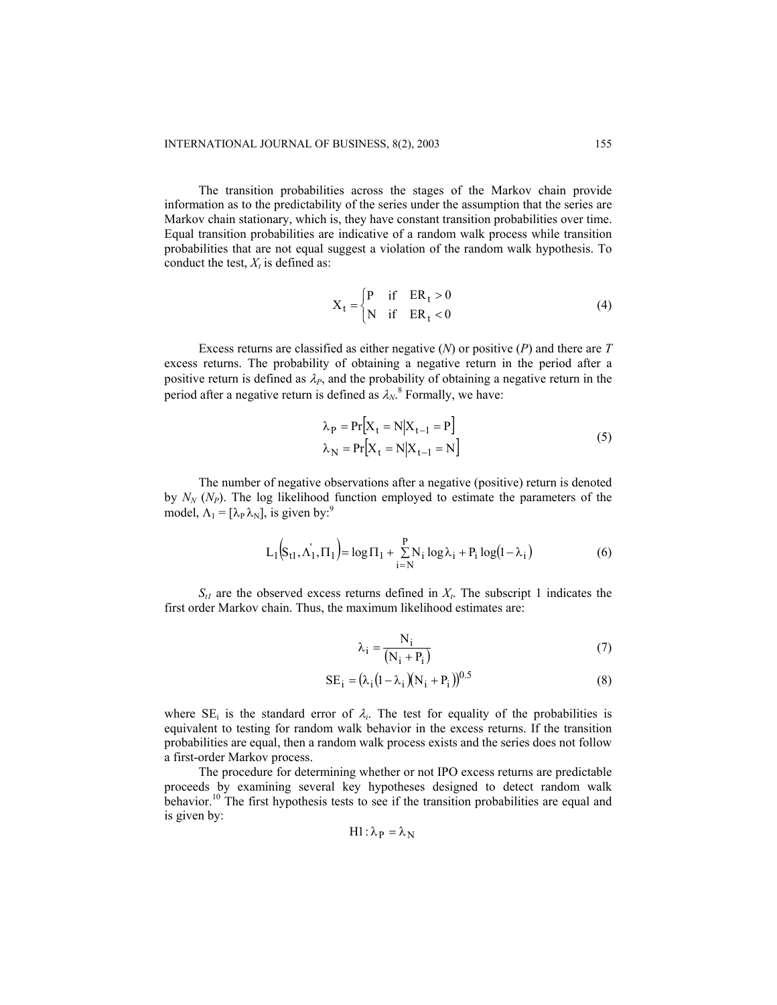The transition probabilities across the stages of the Markov chain provide information as to the predictability of the series under the assumption that the series are Markov chain stationary, which is, they have constant transition probabilities over time. Equal transition probabilities are indicative of a random walk process while transition probabilities that are not equal suggest a violation of the random walk hypothesis. To conduct the test,  $X_t$  is defined as:

$$
X_t = \begin{cases} P & \text{if } ER_t > 0 \\ N & \text{if } ER_t < 0 \end{cases}
$$
 (4)

Excess returns are classified as either negative (*N*) or positive (*P*) and there are *T* excess returns. The probability of obtaining a negative return in the period after a positive return is defined as  $\lambda_P$ , and the probability of obtaining a negative return in the period after a negative return is defined as  $\lambda_N$ .<sup>8</sup> Formally, we have:

$$
\lambda_{P} = Pr[X_{t} = N|X_{t-1} = P]
$$
  
\n
$$
\lambda_{N} = Pr[X_{t} = N|X_{t-1} = N]
$$
\n(5)

The number of negative observations after a negative (positive) return is denoted by  $N_N$  ( $N_P$ ). The log likelihood function employed to estimate the parameters of the model,  $\Lambda_1 = [\lambda_P \lambda_N]$ , is given by:<sup>9</sup>

$$
L_1(S_{t1}, \Lambda_1', \Pi_1) = \log \Pi_1 + \sum_{i=N}^{P} N_i \log \lambda_i + P_i \log(1 - \lambda_i)
$$
 (6)

 $S_{t1}$  are the observed excess returns defined in  $X_t$ . The subscript 1 indicates the first order Markov chain. Thus, the maximum likelihood estimates are:

$$
\lambda_i = \frac{N_i}{(N_i + P_i)}
$$
\n(7)

$$
SE_{i} = (\lambda_{i} (1 - \lambda_{i}) (N_{i} + P_{i}))^{0.5}
$$
 (8)

where  $SE_i$  is the standard error of  $\lambda_i$ . The test for equality of the probabilities is equivalent to testing for random walk behavior in the excess returns. If the transition probabilities are equal, then a random walk process exists and the series does not follow a first-order Markov process.

The procedure for determining whether or not IPO excess returns are predictable proceeds by examining several key hypotheses designed to detect random walk behavior.<sup>10</sup> The first hypothesis tests to see if the transition probabilities are equal and is given by:

$$
H1: \lambda_P = \lambda_N
$$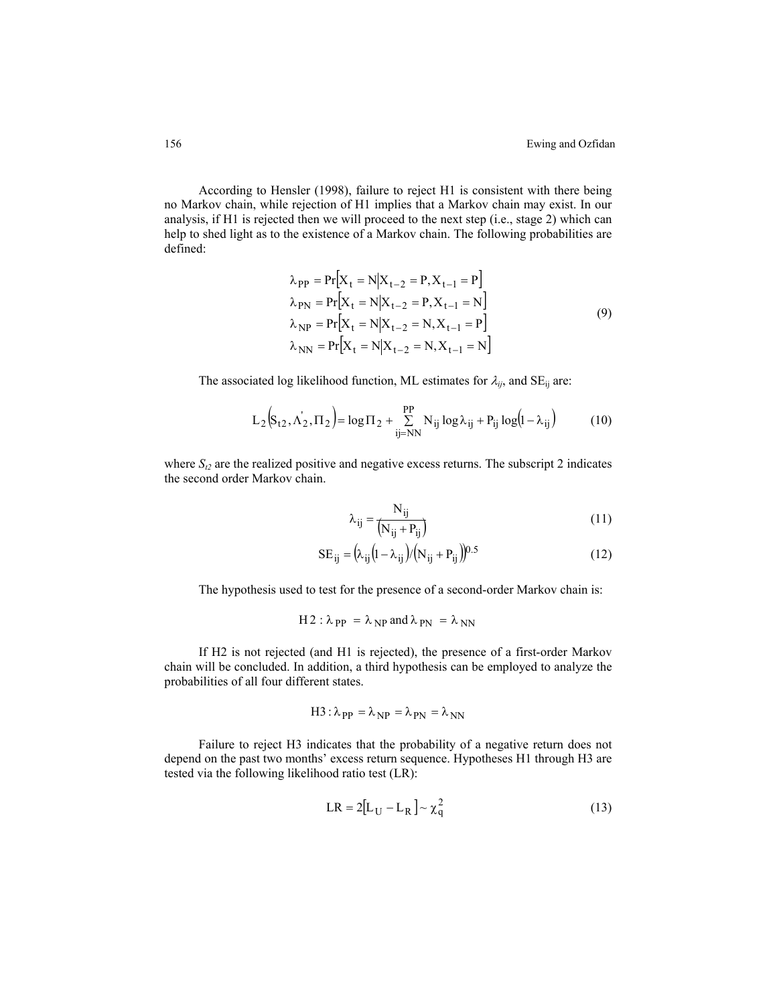According to Hensler (1998), failure to reject H1 is consistent with there being no Markov chain, while rejection of H1 implies that a Markov chain may exist. In our analysis, if H1 is rejected then we will proceed to the next step (i.e., stage 2) which can help to shed light as to the existence of a Markov chain. The following probabilities are defined:

k.

$$
\lambda_{PP} = Pr[X_{t} = N|X_{t-2} = P, X_{t-1} = P]
$$
\n
$$
\lambda_{PN} = Pr[X_{t} = N|X_{t-2} = P, X_{t-1} = N]
$$
\n
$$
\lambda_{NP} = Pr[X_{t} = N|X_{t-2} = N, X_{t-1} = P]
$$
\n
$$
\lambda_{NN} = Pr[X_{t} = N|X_{t-2} = N, X_{t-1} = N]
$$
\n(9)

 $\overline{a}$ 

The associated log likelihood function, ML estimates for  $\lambda_{ij}$ , and SE<sub>ij</sub> are:

$$
L_2(S_{t2}, \Lambda'_2, \Pi_2) = \log \Pi_2 + \sum_{ij=NN}^{PP} N_{ij} \log \lambda_{ij} + P_{ij} \log (1 - \lambda_{ij})
$$
 (10)

where  $S_{t2}$  are the realized positive and negative excess returns. The subscript 2 indicates the second order Markov chain.

$$
\lambda_{ij} = \frac{N_{ij}}{(N_{ij} + P_{ij})}
$$
\n(11)

$$
SE_{ij} = (\lambda_{ij} (1 - \lambda_{ij}) / (N_{ij} + P_{ij}) )^{0.5}
$$
 (12)

The hypothesis used to test for the presence of a second-order Markov chain is:

H 2: 
$$
\lambda_{PP} = \lambda_{NP}
$$
 and  $\lambda_{PN} = \lambda_{NN}$ 

If H2 is not rejected (and H1 is rejected), the presence of a first-order Markov chain will be concluded. In addition, a third hypothesis can be employed to analyze the probabilities of all four different states.

$$
H3: \lambda_{PP} = \lambda_{NP} = \lambda_{PN} = \lambda_{NN}
$$

Failure to reject H3 indicates that the probability of a negative return does not depend on the past two months' excess return sequence. Hypotheses H1 through H3 are tested via the following likelihood ratio test (LR):

$$
LR = 2[LU - LR] \sim \chiq2
$$
 (13)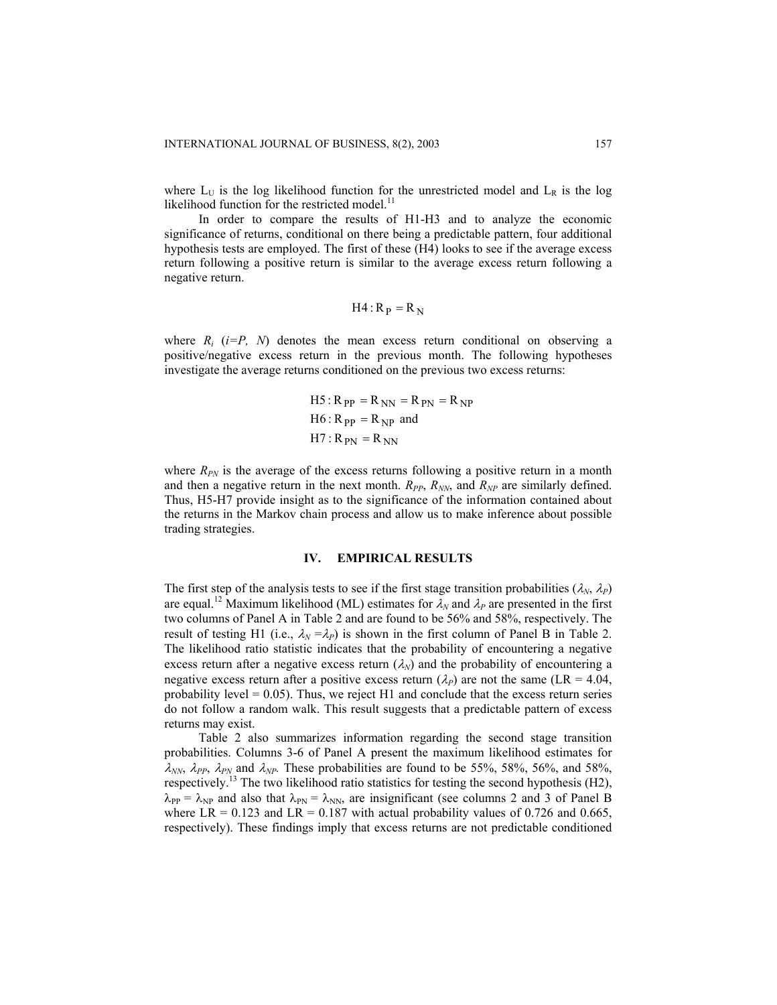where  $L_U$  is the log likelihood function for the unrestricted model and  $L_R$  is the log likelihood function for the restricted model.<sup>11</sup>

In order to compare the results of H1-H3 and to analyze the economic significance of returns, conditional on there being a predictable pattern, four additional hypothesis tests are employed. The first of these (H4) looks to see if the average excess return following a positive return is similar to the average excess return following a negative return.

$$
H4:R_P = R_N
$$

where  $R_i$  ( $i = P$ ,  $N$ ) denotes the mean excess return conditional on observing a positive/negative excess return in the previous month. The following hypotheses investigate the average returns conditioned on the previous two excess returns:

 RPP R NN RPN R NP H5 : = = = RPP R NP H6 : = and H7 : RPN = R NN

where  $R_{PN}$  is the average of the excess returns following a positive return in a month and then a negative return in the next month.  $R_{PP}$ ,  $R_{NN}$ , and  $R_{NP}$  are similarly defined. Thus, H5-H7 provide insight as to the significance of the information contained about the returns in the Markov chain process and allow us to make inference about possible trading strategies.

## **IV. EMPIRICAL RESULTS**

The first step of the analysis tests to see if the first stage transition probabilities  $(\lambda_N, \lambda_P)$ are equal.<sup>12</sup> Maximum likelihood (ML) estimates for  $\lambda_N$  and  $\lambda_P$  are presented in the first two columns of Panel A in Table 2 and are found to be 56% and 58%, respectively. The result of testing H1 (i.e.,  $\lambda_N = \lambda_P$ ) is shown in the first column of Panel B in Table 2. The likelihood ratio statistic indicates that the probability of encountering a negative excess return after a negative excess return  $(\lambda_N)$  and the probability of encountering a negative excess return after a positive excess return  $(\lambda_P)$  are not the same (LR = 4.04, probability level =  $0.05$ ). Thus, we reject H1 and conclude that the excess return series do not follow a random walk. This result suggests that a predictable pattern of excess returns may exist.

Table 2 also summarizes information regarding the second stage transition probabilities. Columns 3-6 of Panel A present the maximum likelihood estimates for  $\lambda_{NN}$ ,  $\lambda_{PP}$ ,  $\lambda_{PN}$  and  $\lambda_{NP}$ . These probabilities are found to be 55%, 58%, 56%, and 58%, respectively.<sup>13</sup> The two likelihood ratio statistics for testing the second hypothesis (H2),  $\lambda_{PP} = \lambda_{NP}$  and also that  $\lambda_{PN} = \lambda_{NN}$ , are insignificant (see columns 2 and 3 of Panel B where LR = 0.123 and LR = 0.187 with actual probability values of 0.726 and 0.665, respectively). These findings imply that excess returns are not predictable conditioned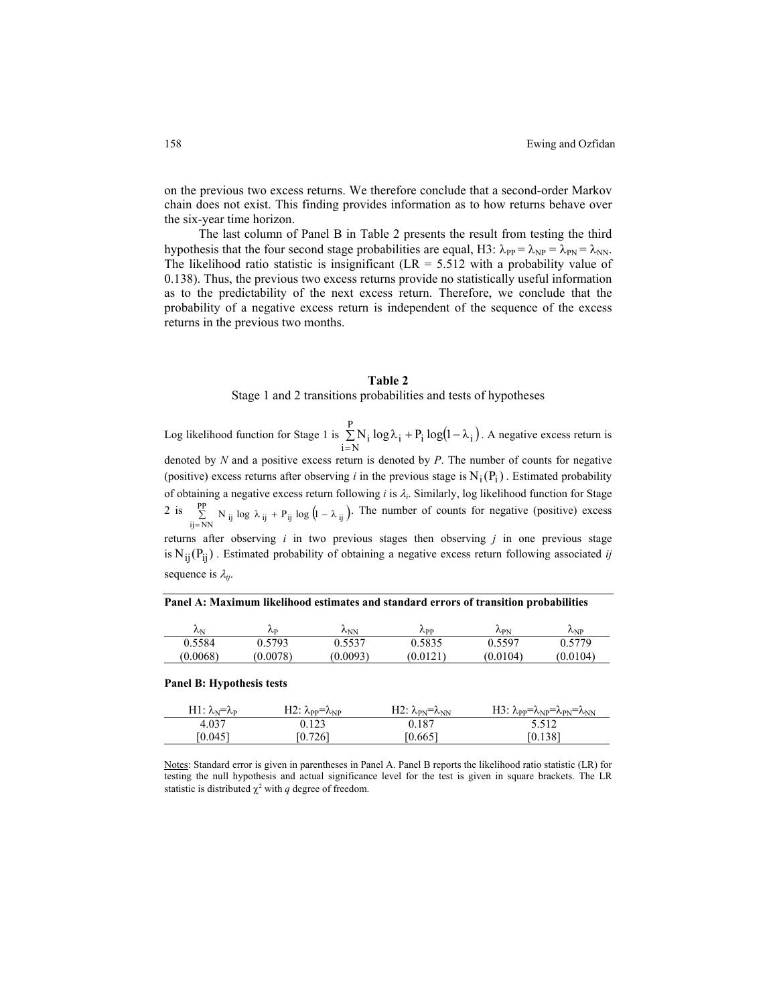on the previous two excess returns. We therefore conclude that a second-order Markov chain does not exist. This finding provides information as to how returns behave over the six-year time horizon.

The last column of Panel B in Table 2 presents the result from testing the third hypothesis that the four second stage probabilities are equal, H3:  $\lambda_{PP} = \lambda_{NP} = \lambda_{PN} = \lambda_{NN}$ . The likelihood ratio statistic is insignificant ( $LR = 5.512$  with a probability value of 0.138). Thus, the previous two excess returns provide no statistically useful information as to the predictability of the next excess return. Therefore, we conclude that the probability of a negative excess return is independent of the sequence of the excess returns in the previous two months.

#### **Table 2**

Stage 1 and 2 transitions probabilities and tests of hypotheses

Log likelihood function for Stage 1 is  $\sum N_i \log \lambda_i + P_i \log(1 - \lambda_i)$ . A negative excess return is denoted by *N* and a positive excess return is denoted by *P*. The number of counts for negative (positive) excess returns after observing *i* in the previous stage is  $N_i(P_i)$ . Estimated probability of obtaining a negative excess return following *i* is λ *<sup>i</sup>*. Similarly, log likelihood function for Stage = P  $\sum_{i=N} N_i \log \lambda_i + P_i \log(1-\lambda_i)$ 2 is  $\sum_{i,j=N}^{p} N_{ij} \log \lambda_{ij} + P_{ij} \log (1-\lambda_{ij})$ . The number of counts for negative (positive) excess  $\sum_{ij=NN}^{PP} N_{ij} \log \lambda_{ij} + P_{ij} \log (1 - \lambda_{ij})$ 

returns after observing  $i$  in two previous stages then observing  $j$  in one previous stage is  $N_{ij}(P_{ij})$ . Estimated probability of obtaining a negative excess return following associated *ij* sequence is λ *ij*.

**Panel A: Maximum likelihood estimates and standard errors of transition probabilities** 

| $\lambda_{\rm N}$ | $\mathcal{L}_{\mathbf{D}}$ | $\lambda_{\rm NN}$ | $\Lambda$ pp | $\lambda_{\rm PN}$ | $\lambda_{NP}$ |
|-------------------|----------------------------|--------------------|--------------|--------------------|----------------|
| 0.5584            | 0.5793                     | J.5537             | 0.5835       | 0.5597             | 1.5779         |
| (0.0068)          | (0.0078)                   | (0.0093)           | (0.0121)     | (0.0104)           | (0.0104)       |

#### **Panel B: Hypothesis tests**

| H1: $\lambda_{\rm N} = \lambda_{\rm P}$ | $\rm H2$ : $\lambda_{\rm PP} = \lambda_{\rm NP}$ | H2: $\lambda_{PN} = \lambda_{NN}$ | $\rm H3$ : $\lambda_{\rm PP} = \lambda_{\rm NP} = \lambda_{\rm PN} = \lambda_{\rm NN}$ |
|-----------------------------------------|--------------------------------------------------|-----------------------------------|----------------------------------------------------------------------------------------|
| 4.037                                   | 0.123                                            | 0.187                             | 5.512                                                                                  |
| [0.045]                                 | [0.726]                                          | [0.665]                           | (0.138)                                                                                |

Notes: Standard error is given in parentheses in Panel A. Panel B reports the likelihood ratio statistic (LR) for testing the null hypothesis and actual significance level for the test is given in square brackets. The LR statistic is distributed  $\chi^2$  with *q* degree of freedom.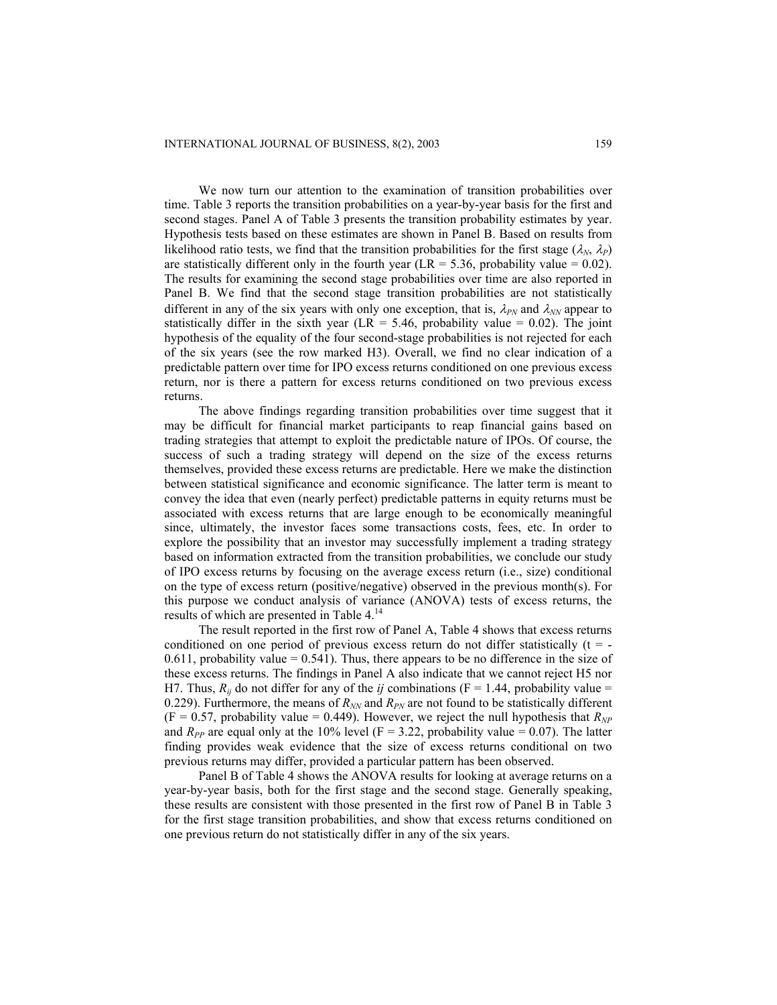We now turn our attention to the examination of transition probabilities over time. Table 3 reports the transition probabilities on a year-by-year basis for the first and second stages. Panel A of Table 3 presents the transition probability estimates by year. Hypothesis tests based on these estimates are shown in Panel B. Based on results from likelihood ratio tests, we find that the transition probabilities for the first stage ( $\lambda_N$ ,  $\lambda_P$ ) are statistically different only in the fourth year (LR = 5.36, probability value =  $0.02$ ). The results for examining the second stage probabilities over time are also reported in Panel B. We find that the second stage transition probabilities are not statistically different in any of the six years with only one exception, that is,  $\lambda_{PN}$  and  $\lambda_{NN}$  appear to statistically differ in the sixth year (LR = 5.46, probability value =  $0.02$ ). The joint hypothesis of the equality of the four second-stage probabilities is not rejected for each of the six years (see the row marked H3). Overall, we find no clear indication of a predictable pattern over time for IPO excess returns conditioned on one previous excess return, nor is there a pattern for excess returns conditioned on two previous excess returns.

The above findings regarding transition probabilities over time suggest that it may be difficult for financial market participants to reap financial gains based on trading strategies that attempt to exploit the predictable nature of IPOs. Of course, the success of such a trading strategy will depend on the size of the excess returns themselves, provided these excess returns are predictable. Here we make the distinction between statistical significance and economic significance. The latter term is meant to convey the idea that even (nearly perfect) predictable patterns in equity returns must be associated with excess returns that are large enough to be economically meaningful since, ultimately, the investor faces some transactions costs, fees, etc. In order to explore the possibility that an investor may successfully implement a trading strategy based on information extracted from the transition probabilities, we conclude our study of IPO excess returns by focusing on the average excess return (i.e., size) conditional on the type of excess return (positive/negative) observed in the previous month(s). For this purpose we conduct analysis of variance (ANOVA) tests of excess returns, the results of which are presented in Table 4.14

The result reported in the first row of Panel A, Table 4 shows that excess returns conditioned on one period of previous excess return do not differ statistically  $(t = -1)$  $0.611$ , probability value =  $0.541$ ). Thus, there appears to be no difference in the size of these excess returns. The findings in Panel A also indicate that we cannot reject H5 nor H7. Thus,  $R_{ij}$  do not differ for any of the *ij* combinations ( $F = 1.44$ , probability value = 0.229). Furthermore, the means of  $R_{NN}$  and  $R_{PN}$  are not found to be statistically different  $(F = 0.57$ , probability value = 0.449). However, we reject the null hypothesis that  $R_{NP}$ and  $R_{PP}$  are equal only at the 10% level (F = 3.22, probability value = 0.07). The latter finding provides weak evidence that the size of excess returns conditional on two previous returns may differ, provided a particular pattern has been observed.

Panel B of Table 4 shows the ANOVA results for looking at average returns on a year-by-year basis, both for the first stage and the second stage. Generally speaking, these results are consistent with those presented in the first row of Panel B in Table 3 for the first stage transition probabilities, and show that excess returns conditioned on one previous return do not statistically differ in any of the six years.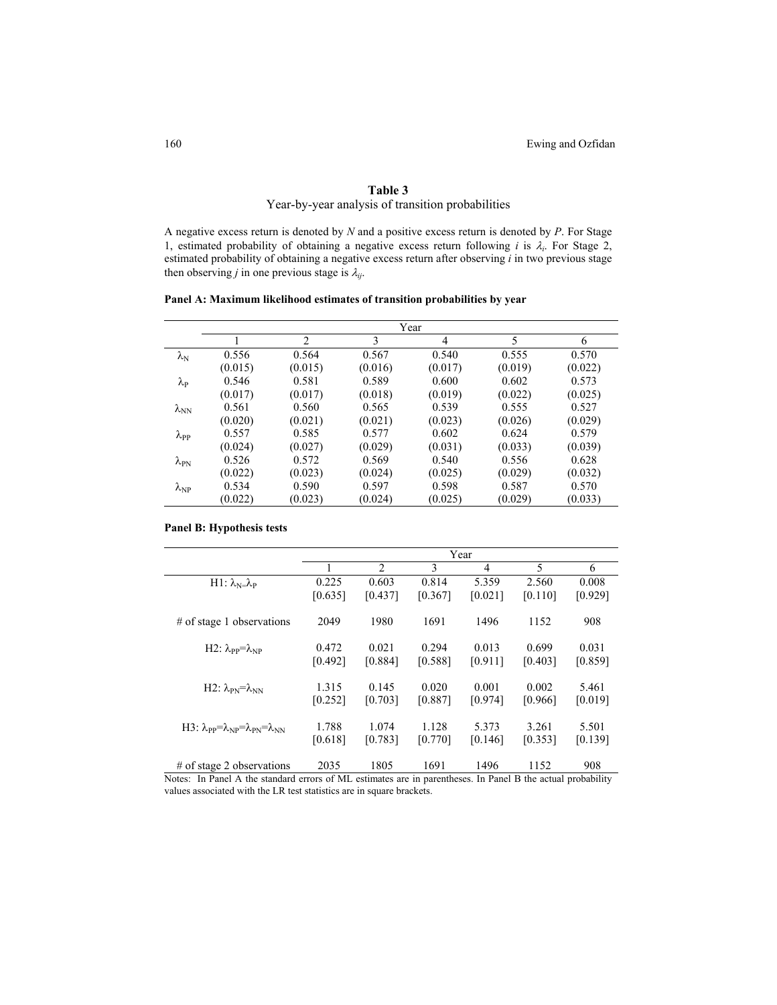# **Table 3**

Year-by-year analysis of transition probabilities

A negative excess return is denoted by *N* and a positive excess return is denoted by *P*. For Stage 1, estimated probability of obtaining a negative excess return following *i* is λ*i*. For Stage 2, estimated probability of obtaining a negative excess return after observing *i* in two previous stage then observing *j* in one previous stage is  $\lambda_{ij}$ .

**Panel A: Maximum likelihood estimates of transition probabilities by year** 

|                    | Year    |         |         |         |         |         |  |  |
|--------------------|---------|---------|---------|---------|---------|---------|--|--|
|                    |         | 2       | 3       | 4       | 5       | 6       |  |  |
| $\lambda_{\rm N}$  | 0.556   | 0.564   | 0.567   | 0.540   | 0.555   | 0.570   |  |  |
|                    | (0.015) | (0.015) | (0.016) | (0.017) | (0.019) | (0.022) |  |  |
| $\lambda_{\rm P}$  | 0.546   | 0.581   | 0.589   | 0.600   | 0.602   | 0.573   |  |  |
|                    | (0.017) | (0.017) | (0.018) | (0.019) | (0.022) | (0.025) |  |  |
| $\lambda_{\rm NN}$ | 0.561   | 0.560   | 0.565   | 0.539   | 0.555   | 0.527   |  |  |
|                    | (0.020) | (0.021) | (0.021) | (0.023) | (0.026) | (0.029) |  |  |
| $\lambda_{PP}$     | 0.557   | 0.585   | 0.577   | 0.602   | 0.624   | 0.579   |  |  |
|                    | (0.024) | (0.027) | (0.029) | (0.031) | (0.033) | (0.039) |  |  |
| $\lambda_{\rm PN}$ | 0.526   | 0.572   | 0.569   | 0.540   | 0.556   | 0.628   |  |  |
|                    | (0.022) | (0.023) | (0.024) | (0.025) | (0.029) | (0.032) |  |  |
| $\lambda_{\rm NP}$ | 0.534   | 0.590   | 0.597   | 0.598   | 0.587   | 0.570   |  |  |
|                    | (0.022) | (0.023) | (0.024) | (0.025) | (0.029) | (0.033) |  |  |

**Panel B: Hypothesis tests** 

|                                                                 |         | Year    |         |                |         |         |  |
|-----------------------------------------------------------------|---------|---------|---------|----------------|---------|---------|--|
|                                                                 |         | 2       | 3       | $\overline{4}$ | 5       | 6       |  |
| $H1: \lambda_{N} = \lambda_{P}$                                 | 0.225   | 0.603   | 0.814   | 5.359          | 2.560   | 0.008   |  |
|                                                                 | [0.635] | [0.437] | [0.367] | [0.021]        | [0.110] | [0.929] |  |
| $#$ of stage 1 observations                                     | 2049    | 1980    | 1691    | 1496           | 1152    | 908     |  |
| H2: $\lambda_{PP} = \lambda_{NP}$                               | 0.472   | 0.021   | 0.294   | 0.013          | 0.699   | 0.031   |  |
|                                                                 | [0.492] | [0.884] | [0.588] | [0.911]        | [0.403] | [0.859] |  |
| H2: $\lambda_{PN} = \lambda_{NN}$                               | 1.315   | 0.145   | 0.020   | 0.001          | 0.002   | 5.461   |  |
|                                                                 | [0.252] | [0.703] | [0.887] | [0.974]        | [0.966] | [0.019] |  |
| H3: $\lambda_{PP} = \lambda_{NP} = \lambda_{PN} = \lambda_{NN}$ | 1.788   | 1.074   | 1.128   | 5.373          | 3.261   | 5.501   |  |
|                                                                 | [0.618] | [0.783] | [0.770] | [0.146]        | [0.353] | [0.139] |  |
| $#$ of stage 2 observations                                     | 2035    | 1805    | 1691    | 1496           | 1152    | 908     |  |

Notes: In Panel A the standard errors of ML estimates are in parentheses. In Panel B the actual probability values associated with the LR test statistics are in square brackets.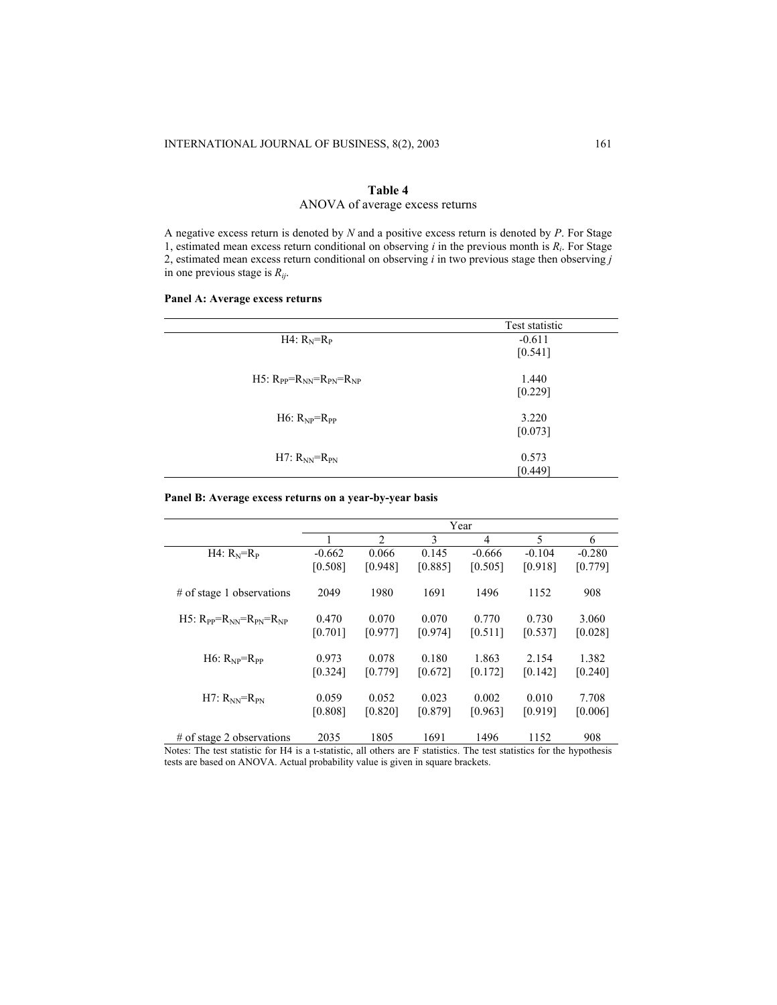# **Table 4** ANOVA of average excess returns

A negative excess return is denoted by *N* and a positive excess return is denoted by *P*. For Stage 1, estimated mean excess return conditional on observing *i* in the previous month is *Ri*. For Stage 2, estimated mean excess return conditional on observing *i* in two previous stage then observing *j* in one previous stage is *Rij*.

# **Panel A: Average excess returns**

|                                           | Test statistic |
|-------------------------------------------|----------------|
| H4: $R_N=R_P$                             | $-0.611$       |
|                                           | [0.541]        |
| $H5:$ $R_{PP} = R_{NN} = R_{PN} = R_{NP}$ | 1.440          |
|                                           | [0.229]        |
| H6: $R_{NP} = R_{PP}$                     | 3.220          |
|                                           | [0.073]        |
| H7: $R_{NN}=R_{PN}$                       | 0.573          |
|                                           | [0.449]        |

# **Panel B: Average excess returns on a year-by-year basis**

|                                         |          |                |         | Year           |          |          |
|-----------------------------------------|----------|----------------|---------|----------------|----------|----------|
|                                         |          | $\overline{2}$ | 3       | $\overline{4}$ | 5        | 6        |
| $H4: R_N=R_P$                           | $-0.662$ | 0.066          | 0.145   | $-0.666$       | $-0.104$ | $-0.280$ |
|                                         | [0.508]  | [0.948]        | [0.885] | [0.505]        | [0.918]  | [0.779]  |
| # of stage 1 observations               | 2049     | 1980           | 1691    | 1496           | 1152     | 908      |
| H5: $R_{PP} = R_{NN} = R_{PN} = R_{NP}$ | 0.470    | 0.070          | 0.070   | 0.770          | 0.730    | 3.060    |
|                                         | [0.701]  | [0.977]        | [0.974] | [0.511]        | [0.537]  | [0.028]  |
| $H6: R_{NP} = R_{PP}$                   | 0.973    | 0.078          | 0.180   | 1.863          | 2.154    | 1.382    |
|                                         | [0.324]  | [0.779]        | [0.672] | [0.172]        | [0.142]  | [0.240]  |
| $H7: R_{NN} = R_{PN}$                   | 0.059    | 0.052          | 0.023   | 0.002          | 0.010    | 7.708    |
|                                         | [0.808]  | [0.820]        | [0.879] | [0.963]        | [0.919]  | [0.006]  |
| $#$ of stage 2 observations             | 2035     | 1805           | 1691    | 1496           | 1152     | 908      |

Notes: The test statistic for H4 is a t-statistic, all others are F statistics. The test statistics for the hypothesis tests are based on ANOVA. Actual probability value is given in square brackets.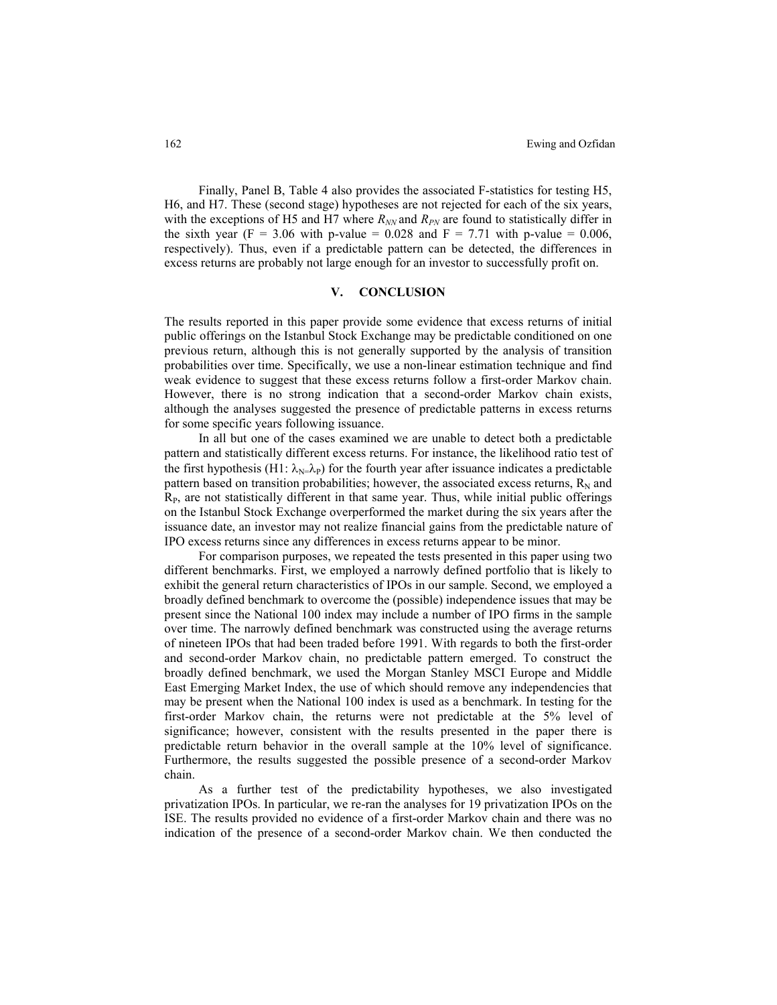Finally, Panel B, Table 4 also provides the associated F-statistics for testing H5, H6, and H7. These (second stage) hypotheses are not rejected for each of the six years, with the exceptions of H5 and H7 where  $R_{NN}$  and  $R_{PN}$  are found to statistically differ in the sixth year (F = 3.06 with p-value = 0.028 and F = 7.71 with p-value = 0.006, respectively). Thus, even if a predictable pattern can be detected, the differences in excess returns are probably not large enough for an investor to successfully profit on.

# **V. CONCLUSION**

The results reported in this paper provide some evidence that excess returns of initial public offerings on the Istanbul Stock Exchange may be predictable conditioned on one previous return, although this is not generally supported by the analysis of transition probabilities over time. Specifically, we use a non-linear estimation technique and find weak evidence to suggest that these excess returns follow a first-order Markov chain. However, there is no strong indication that a second-order Markov chain exists, although the analyses suggested the presence of predictable patterns in excess returns for some specific years following issuance.

In all but one of the cases examined we are unable to detect both a predictable pattern and statistically different excess returns. For instance, the likelihood ratio test of the first hypothesis (H1:  $\lambda_{N} = \lambda_P$ ) for the fourth year after issuance indicates a predictable pattern based on transition probabilities; however, the associated excess returns,  $R_N$  and  $R<sub>P</sub>$ , are not statistically different in that same year. Thus, while initial public offerings on the Istanbul Stock Exchange overperformed the market during the six years after the issuance date, an investor may not realize financial gains from the predictable nature of IPO excess returns since any differences in excess returns appear to be minor.

For comparison purposes, we repeated the tests presented in this paper using two different benchmarks. First, we employed a narrowly defined portfolio that is likely to exhibit the general return characteristics of IPOs in our sample. Second, we employed a broadly defined benchmark to overcome the (possible) independence issues that may be present since the National 100 index may include a number of IPO firms in the sample over time. The narrowly defined benchmark was constructed using the average returns of nineteen IPOs that had been traded before 1991. With regards to both the first-order and second-order Markov chain, no predictable pattern emerged. To construct the broadly defined benchmark, we used the Morgan Stanley MSCI Europe and Middle East Emerging Market Index, the use of which should remove any independencies that may be present when the National 100 index is used as a benchmark. In testing for the first-order Markov chain, the returns were not predictable at the 5% level of significance; however, consistent with the results presented in the paper there is predictable return behavior in the overall sample at the 10% level of significance. Furthermore, the results suggested the possible presence of a second-order Markov chain.

As a further test of the predictability hypotheses, we also investigated privatization IPOs. In particular, we re-ran the analyses for 19 privatization IPOs on the ISE. The results provided no evidence of a first-order Markov chain and there was no indication of the presence of a second-order Markov chain. We then conducted the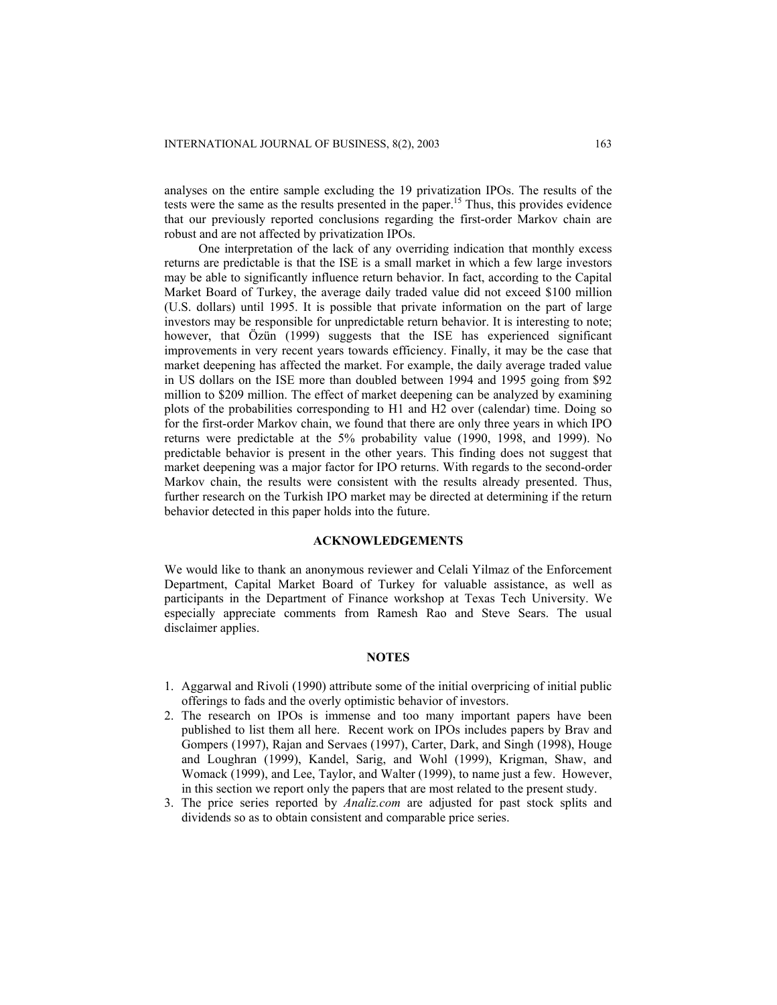analyses on the entire sample excluding the 19 privatization IPOs. The results of the tests were the same as the results presented in the paper.15 Thus, this provides evidence that our previously reported conclusions regarding the first-order Markov chain are robust and are not affected by privatization IPOs.

One interpretation of the lack of any overriding indication that monthly excess returns are predictable is that the ISE is a small market in which a few large investors may be able to significantly influence return behavior. In fact, according to the Capital Market Board of Turkey, the average daily traded value did not exceed \$100 million (U.S. dollars) until 1995. It is possible that private information on the part of large investors may be responsible for unpredictable return behavior. It is interesting to note; however, that Özün (1999) suggests that the ISE has experienced significant improvements in very recent years towards efficiency. Finally, it may be the case that market deepening has affected the market. For example, the daily average traded value in US dollars on the ISE more than doubled between 1994 and 1995 going from \$92 million to \$209 million. The effect of market deepening can be analyzed by examining plots of the probabilities corresponding to H1 and H2 over (calendar) time. Doing so for the first-order Markov chain, we found that there are only three years in which IPO returns were predictable at the 5% probability value (1990, 1998, and 1999). No predictable behavior is present in the other years. This finding does not suggest that market deepening was a major factor for IPO returns. With regards to the second-order Markov chain, the results were consistent with the results already presented. Thus, further research on the Turkish IPO market may be directed at determining if the return behavior detected in this paper holds into the future.

#### **ACKNOWLEDGEMENTS**

We would like to thank an anonymous reviewer and Celali Yilmaz of the Enforcement Department, Capital Market Board of Turkey for valuable assistance, as well as participants in the Department of Finance workshop at Texas Tech University. We especially appreciate comments from Ramesh Rao and Steve Sears. The usual disclaimer applies.

# **NOTES**

- 1. Aggarwal and Rivoli (1990) attribute some of the initial overpricing of initial public offerings to fads and the overly optimistic behavior of investors.
- 2. The research on IPOs is immense and too many important papers have been published to list them all here. Recent work on IPOs includes papers by Brav and Gompers (1997), Rajan and Servaes (1997), Carter, Dark, and Singh (1998), Houge and Loughran (1999), Kandel, Sarig, and Wohl (1999), Krigman, Shaw, and Womack (1999), and Lee, Taylor, and Walter (1999), to name just a few. However, in this section we report only the papers that are most related to the present study.
- 3. The price series reported by *Analiz.com* are adjusted for past stock splits and dividends so as to obtain consistent and comparable price series.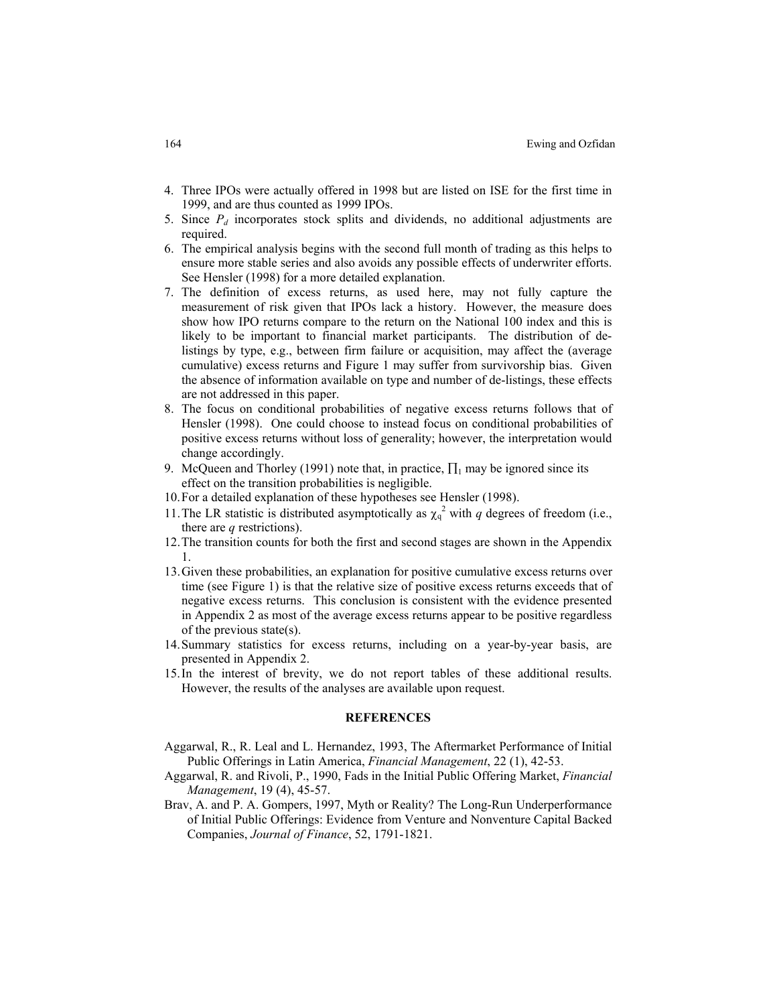- 4. Three IPOs were actually offered in 1998 but are listed on ISE for the first time in 1999, and are thus counted as 1999 IPOs.
- 5. Since *Pd* incorporates stock splits and dividends, no additional adjustments are required.
- 6. The empirical analysis begins with the second full month of trading as this helps to ensure more stable series and also avoids any possible effects of underwriter efforts. See Hensler (1998) for a more detailed explanation.
- 7. The definition of excess returns, as used here, may not fully capture the measurement of risk given that IPOs lack a history. However, the measure does show how IPO returns compare to the return on the National 100 index and this is likely to be important to financial market participants. The distribution of delistings by type, e.g., between firm failure or acquisition, may affect the (average cumulative) excess returns and Figure 1 may suffer from survivorship bias. Given the absence of information available on type and number of de-listings, these effects are not addressed in this paper.
- 8. The focus on conditional probabilities of negative excess returns follows that of Hensler (1998). One could choose to instead focus on conditional probabilities of positive excess returns without loss of generality; however, the interpretation would change accordingly.
- 9. McQueen and Thorley (1991) note that, in practice,  $\prod_1$  may be ignored since its effect on the transition probabilities is negligible.
- 10. For a detailed explanation of these hypotheses see Hensler (1998).
- 11. The LR statistic is distributed asymptotically as  $\chi_q^2$  with *q* degrees of freedom (i.e., there are *q* restrictions).
- 12. The transition counts for both the first and second stages are shown in the Appendix 1.
- 13. Given these probabilities, an explanation for positive cumulative excess returns over time (see Figure 1) is that the relative size of positive excess returns exceeds that of negative excess returns. This conclusion is consistent with the evidence presented in Appendix 2 as most of the average excess returns appear to be positive regardless of the previous state(s).
- 14. Summary statistics for excess returns, including on a year-by-year basis, are presented in Appendix 2.
- 15. In the interest of brevity, we do not report tables of these additional results. However, the results of the analyses are available upon request.

#### **REFERENCES**

- Aggarwal, R., R. Leal and L. Hernandez, 1993, The Aftermarket Performance of Initial Public Offerings in Latin America, *Financial Management*, 22 (1), 42-53.
- Aggarwal, R. and Rivoli, P., 1990, Fads in the Initial Public Offering Market, *Financial Management*, 19 (4), 45-57.
- Brav, A. and P. A. Gompers, 1997, Myth or Reality? The Long-Run Underperformance of Initial Public Offerings: Evidence from Venture and Nonventure Capital Backed Companies, *Journal of Finance*, 52, 1791-1821.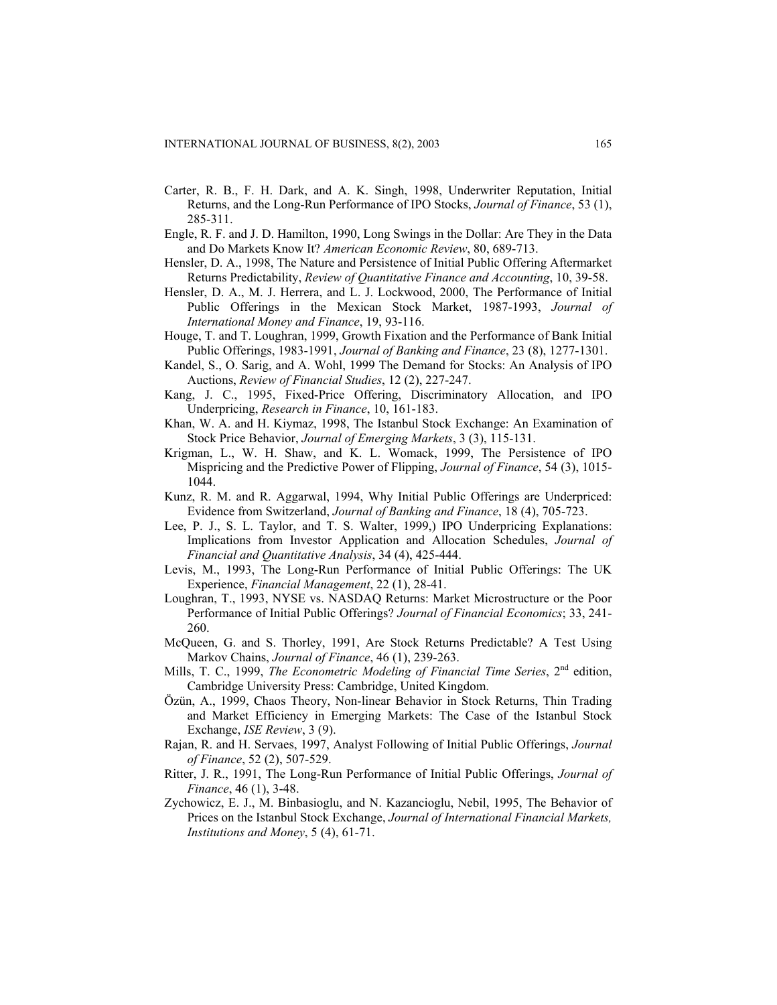- Carter, R. B., F. H. Dark, and A. K. Singh, 1998, Underwriter Reputation, Initial Returns, and the Long-Run Performance of IPO Stocks, *Journal of Finance*, 53 (1), 285-311.
- Engle, R. F. and J. D. Hamilton, 1990, Long Swings in the Dollar: Are They in the Data and Do Markets Know It? *American Economic Review*, 80, 689-713.
- Hensler, D. A., 1998, The Nature and Persistence of Initial Public Offering Aftermarket Returns Predictability, *Review of Quantitative Finance and Accounting*, 10, 39-58.
- Hensler, D. A., M. J. Herrera, and L. J. Lockwood, 2000, The Performance of Initial Public Offerings in the Mexican Stock Market, 1987-1993, *Journal of International Money and Finance*, 19, 93-116.
- Houge, T. and T. Loughran, 1999, Growth Fixation and the Performance of Bank Initial Public Offerings, 1983-1991, *Journal of Banking and Finance*, 23 (8), 1277-1301.
- Kandel, S., O. Sarig, and A. Wohl, 1999 The Demand for Stocks: An Analysis of IPO Auctions, *Review of Financial Studies*, 12 (2), 227-247.
- Kang, J. C., 1995, Fixed-Price Offering, Discriminatory Allocation, and IPO Underpricing, *Research in Finance*, 10, 161-183.
- Khan, W. A. and H. Kiymaz, 1998, The Istanbul Stock Exchange: An Examination of Stock Price Behavior, *Journal of Emerging Markets*, 3 (3), 115-131.
- Krigman, L., W. H. Shaw, and K. L. Womack, 1999, The Persistence of IPO Mispricing and the Predictive Power of Flipping, *Journal of Finance*, 54 (3), 1015- 1044.
- Kunz, R. M. and R. Aggarwal, 1994, Why Initial Public Offerings are Underpriced: Evidence from Switzerland, *Journal of Banking and Finance*, 18 (4), 705-723.
- Lee, P. J., S. L. Taylor, and T. S. Walter, 1999,) IPO Underpricing Explanations: Implications from Investor Application and Allocation Schedules, *Journal of Financial and Quantitative Analysis*, 34 (4), 425-444.
- Levis, M., 1993, The Long-Run Performance of Initial Public Offerings: The UK Experience, *Financial Management*, 22 (1), 28-41.
- Loughran, T., 1993, NYSE vs. NASDAQ Returns: Market Microstructure or the Poor Performance of Initial Public Offerings? *Journal of Financial Economics*; 33, 241- 260.
- McQueen, G. and S. Thorley, 1991, Are Stock Returns Predictable? A Test Using Markov Chains, *Journal of Finance*, 46 (1), 239-263.
- Mills, T. C., 1999, *The Econometric Modeling of Financial Time Series*, 2<sup>nd</sup> edition, Cambridge University Press: Cambridge, United Kingdom.
- Özün, A., 1999, Chaos Theory, Non-linear Behavior in Stock Returns, Thin Trading and Market Efficiency in Emerging Markets: The Case of the Istanbul Stock Exchange, *ISE Review*, 3 (9).
- Rajan, R. and H. Servaes, 1997, Analyst Following of Initial Public Offerings, *Journal of Finance*, 52 (2), 507-529.
- Ritter, J. R., 1991, The Long-Run Performance of Initial Public Offerings, *Journal of Finance*, 46 (1), 3-48.
- Zychowicz, E. J., M. Binbasioglu, and N. Kazancioglu, Nebil, 1995, The Behavior of Prices on the Istanbul Stock Exchange, *Journal of International Financial Markets, Institutions and Money*, 5 (4), 61-71.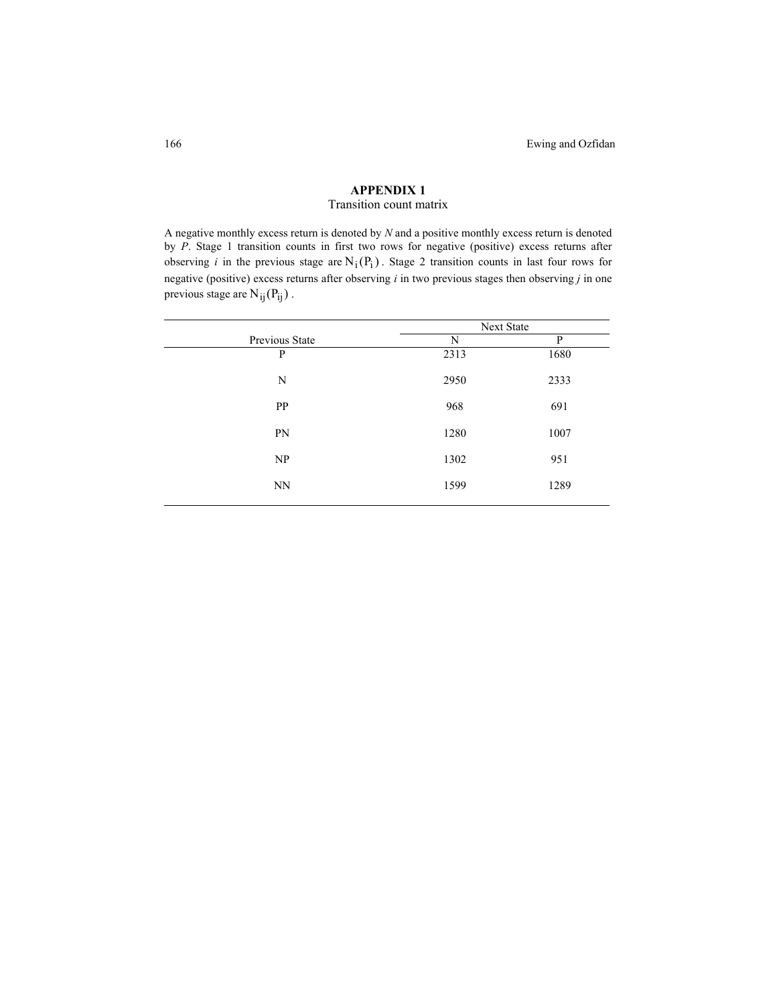# **APPENDIX 1**

# Transition count matrix

A negative monthly excess return is denoted by *N* and a positive monthly excess return is denoted by *P*. Stage 1 transition counts in first two rows for negative (positive) excess returns after observing *i* in the previous stage are  $N_i(P_i)$ . Stage 2 transition counts in last four rows for negative (positive) excess returns after observing *i* in two previous stages then observing *j* in one previous stage are  $N_{ij}(P_{ij})$ .

|                | <b>Next State</b> |      |
|----------------|-------------------|------|
| Previous State | N                 | P    |
| P              | 2313              | 1680 |
| N              | 2950              | 2333 |
| <b>PP</b>      | 968               | 691  |
| PN             | 1280              | 1007 |
| NP             | 1302              | 951  |
| <b>NN</b>      | 1599              | 1289 |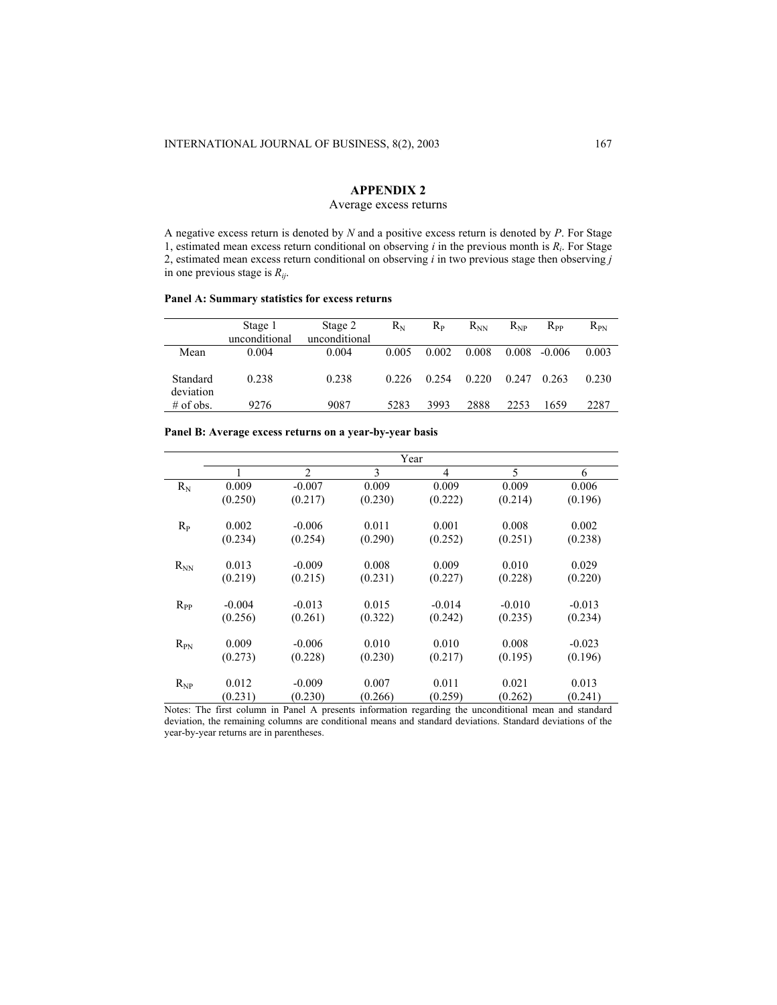# **APPENDIX 2**

# Average excess returns

A negative excess return is denoted by *N* and a positive excess return is denoted by *P*. For Stage 1, estimated mean excess return conditional on observing *i* in the previous month is *Ri*. For Stage 2, estimated mean excess return conditional on observing *i* in two previous stage then observing *j* in one previous stage is *Rij*.

### **Panel A: Summary statistics for excess returns**

|                       | Stage 1<br>unconditional | Stage 2<br>unconditional | Rn    | Rр    | $R_{NN}$ | $R_{NP}$ | $R_{PP}$ | $R_{PN}$ |
|-----------------------|--------------------------|--------------------------|-------|-------|----------|----------|----------|----------|
| Mean                  | 0.004                    | 0.004                    | 0.005 | 0.002 | 0.008    | 0.008    | $-0.006$ | 0.003    |
| Standard<br>deviation | 0.238                    | 0.238                    | 0.226 | 0.254 | 0.220    | 0.247    | 0.263    | 0.230    |
| $#$ of obs.           | 9276                     | 9087                     | 5283  | 3993  | 2888     | 2253     | 1659     | 2287     |

|          | Year     |          |         |                |          |          |  |  |
|----------|----------|----------|---------|----------------|----------|----------|--|--|
|          |          | 2        | 3       | $\overline{4}$ | 5        | 6        |  |  |
| $R_{N}$  | 0.009    | $-0.007$ | 0.009   | 0.009          | 0.009    | 0.006    |  |  |
|          | (0.250)  | (0.217)  | (0.230) | (0.222)        | (0.214)  | (0.196)  |  |  |
| $R_{P}$  | 0.002    | $-0.006$ | 0.011   | 0.001          | 0.008    | 0.002    |  |  |
|          | (0.234)  | (0.254)  | (0.290) | (0.252)        | (0.251)  | (0.238)  |  |  |
| $R_{NN}$ | 0.013    | $-0.009$ | 0.008   | 0.009          | 0.010    | 0.029    |  |  |
|          | (0.219)  | (0.215)  | (0.231) | (0.227)        | (0.228)  | (0.220)  |  |  |
| $R_{PP}$ | $-0.004$ | $-0.013$ | 0.015   | $-0.014$       | $-0.010$ | $-0.013$ |  |  |
|          | (0.256)  | (0.261)  | (0.322) | (0.242)        | (0.235)  | (0.234)  |  |  |
| $R_{PN}$ | 0.009    | $-0.006$ | 0.010   | 0.010          | 0.008    | $-0.023$ |  |  |
|          | (0.273)  | (0.228)  | (0.230) | (0.217)        | (0.195)  | (0.196)  |  |  |
| $R_{NP}$ | 0.012    | $-0.009$ | 0.007   | 0.011          | 0.021    | 0.013    |  |  |
|          | (0.231)  | (0.230)  | (0.266) | (0.259)        | (0.262)  | (0.241)  |  |  |

**Panel B: Average excess returns on a year-by-year basis** 

Notes: The first column in Panel A presents information regarding the unconditional mean and standard deviation, the remaining columns are conditional means and standard deviations. Standard deviations of the year-by-year returns are in parentheses.